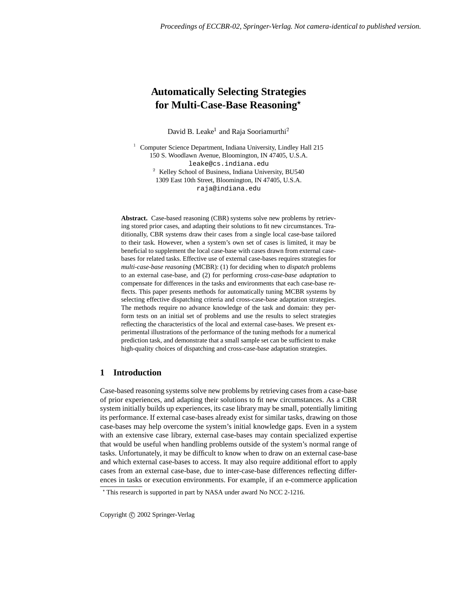# **Automatically Selecting Strategies for Multi-Case-Base Reasoning**?

David B. Leake $^1$  and Raja Sooriamurthi $^2$ 

<sup>1</sup> Computer Science Department, Indiana University, Lindley Hall 215 150 S. Woodlawn Avenue, Bloomington, IN 47405, U.S.A. leake@cs.indiana.edu <sup>2</sup> Kelley School of Business, Indiana University, BU540 1309 East 10th Street, Bloomington, IN 47405, U.S.A. raja@indiana.edu

**Abstract.** Case-based reasoning (CBR) systems solve new problems by retrieving stored prior cases, and adapting their solutions to fit new circumstances. Traditionally, CBR systems draw their cases from a single local case-base tailored to their task. However, when a system's own set of cases is limited, it may be beneficial to supplement the local case-base with cases drawn from external casebases for related tasks. Effective use of external case-bases requires strategies for *multi-case-base reasoning* (MCBR): (1) for deciding when to *dispatch* problems to an external case-base, and (2) for performing *cross-case-base adaptation* to compensate for differences in the tasks and environments that each case-base reflects. This paper presents methods for automatically tuning MCBR systems by selecting effective dispatching criteria and cross-case-base adaptation strategies. The methods require no advance knowledge of the task and domain: they perform tests on an initial set of problems and use the results to select strategies reflecting the characteristics of the local and external case-bases. We present experimental illustrations of the performance of the tuning methods for a numerical prediction task, and demonstrate that a small sample set can be sufficient to make high-quality choices of dispatching and cross-case-base adaptation strategies.

# **1 Introduction**

Case-based reasoning systems solve new problems by retrieving cases from a case-base of prior experiences, and adapting their solutions to fit new circumstances. As a CBR system initially builds up experiences, its case library may be small, potentially limiting its performance. If external case-bases already exist for similar tasks, drawing on those case-bases may help overcome the system's initial knowledge gaps. Even in a system with an extensive case library, external case-bases may contain specialized expertise that would be useful when handling problems outside of the system's normal range of tasks. Unfortunately, it may be difficult to know when to draw on an external case-base and which external case-bases to access. It may also require additional effort to apply cases from an external case-base, due to inter-case-base differences reflecting differences in tasks or execution environments. For example, if an e-commerce application

<sup>?</sup> This research is supported in part by NASA under award No NCC 2-1216.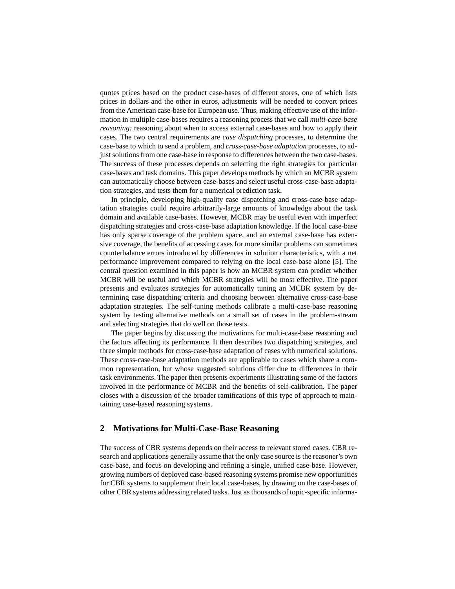quotes prices based on the product case-bases of different stores, one of which lists prices in dollars and the other in euros, adjustments will be needed to convert prices from the American case-base for European use. Thus, making effective use of the information in multiple case-bases requires a reasoning process that we call *multi-case-base reasoning:* reasoning about when to access external case-bases and how to apply their cases. The two central requirements are *case dispatching* processes, to determine the case-base to which to send a problem, and *cross-case-base adaptation* processes, to adjust solutions from one case-base in response to differences between the two case-bases. The success of these processes depends on selecting the right strategies for particular case-bases and task domains. This paper develops methods by which an MCBR system can automatically choose between case-bases and select useful cross-case-base adaptation strategies, and tests them for a numerical prediction task.

In principle, developing high-quality case dispatching and cross-case-base adaptation strategies could require arbitrarily-large amounts of knowledge about the task domain and available case-bases. However, MCBR may be useful even with imperfect dispatching strategies and cross-case-base adaptation knowledge. If the local case-base has only sparse coverage of the problem space, and an external case-base has extensive coverage, the benefits of accessing cases for more similar problems can sometimes counterbalance errors introduced by differences in solution characteristics, with a net performance improvement compared to relying on the local case-base alone [5]. The central question examined in this paper is how an MCBR system can predict whether MCBR will be useful and which MCBR strategies will be most effective. The paper presents and evaluates strategies for automatically tuning an MCBR system by determining case dispatching criteria and choosing between alternative cross-case-base adaptation strategies. The self-tuning methods calibrate a multi-case-base reasoning system by testing alternative methods on a small set of cases in the problem-stream and selecting strategies that do well on those tests.

The paper begins by discussing the motivations for multi-case-base reasoning and the factors affecting its performance. It then describes two dispatching strategies, and three simple methods for cross-case-base adaptation of cases with numerical solutions. These cross-case-base adaptation methods are applicable to cases which share a common representation, but whose suggested solutions differ due to differences in their task environments. The paper then presents experiments illustrating some of the factors involved in the performance of MCBR and the benefits of self-calibration. The paper closes with a discussion of the broader ramifications of this type of approach to maintaining case-based reasoning systems.

#### **2 Motivations for Multi-Case-Base Reasoning**

The success of CBR systems depends on their access to relevant stored cases. CBR research and applications generally assume that the only case source is the reasoner's own case-base, and focus on developing and refining a single, unified case-base. However, growing numbers of deployed case-based reasoning systems promise new opportunities for CBR systems to supplement their local case-bases, by drawing on the case-bases of other CBR systems addressing related tasks. Just as thousands of topic-specific informa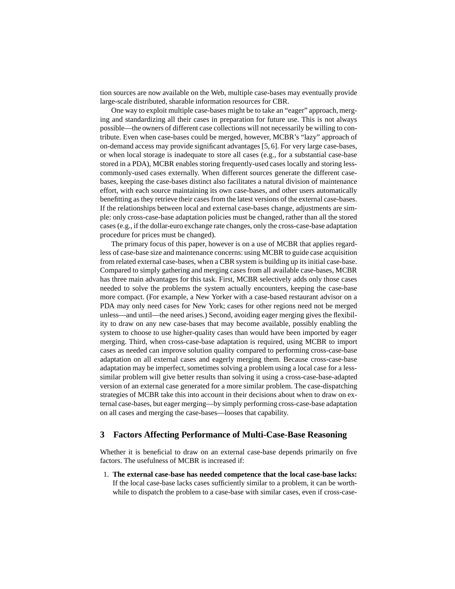tion sources are now available on the Web, multiple case-bases may eventually provide large-scale distributed, sharable information resources for CBR.

One way to exploit multiple case-bases might be to take an "eager" approach, merging and standardizing all their cases in preparation for future use. This is not always possible—the owners of different case collections will not necessarily be willing to contribute. Even when case-bases could be merged, however, MCBR's "lazy" approach of on-demand access may provide significant advantages [5, 6]. For very large case-bases, or when local storage is inadequate to store all cases (e.g., for a substantial case-base stored in a PDA), MCBR enables storing frequently-used cases locally and storing lesscommonly-used cases externally. When different sources generate the different casebases, keeping the case-bases distinct also facilitates a natural division of maintenance effort, with each source maintaining its own case-bases, and other users automatically benefitting as they retrieve their cases from the latest versions of the external case-bases. If the relationships between local and external case-bases change, adjustments are simple: only cross-case-base adaptation policies must be changed, rather than all the stored cases (e.g., if the dollar-euro exchange rate changes, only the cross-case-base adaptation procedure for prices must be changed).

The primary focus of this paper, however is on a use of MCBR that applies regardless of case-base size and maintenance concerns: using MCBR to guide case acquisition from related external case-bases, when a CBR system is building up its initial case-base. Compared to simply gathering and merging cases from all available case-bases, MCBR has three main advantages for this task. First, MCBR selectively adds only those cases needed to solve the problems the system actually encounters, keeping the case-base more compact. (For example, a New Yorker with a case-based restaurant advisor on a PDA may only need cases for New York; cases for other regions need not be merged unless—and until—the need arises.) Second, avoiding eager merging gives the flexibility to draw on any new case-bases that may become available, possibly enabling the system to choose to use higher-quality cases than would have been imported by eager merging. Third, when cross-case-base adaptation is required, using MCBR to import cases as needed can improve solution quality compared to performing cross-case-base adaptation on all external cases and eagerly merging them. Because cross-case-base adaptation may be imperfect, sometimes solving a problem using a local case for a lesssimilar problem will give better results than solving it using a cross-case-base-adapted version of an external case generated for a more similar problem. The case-dispatching strategies of MCBR take this into account in their decisions about when to draw on external case-bases, but eager merging—by simply performing cross-case-base adaptation on all cases and merging the case-bases—looses that capability.

#### **3 Factors Affecting Performance of Multi-Case-Base Reasoning**

Whether it is beneficial to draw on an external case-base depends primarily on five factors. The usefulness of MCBR is increased if:

1. **The external case-base has needed competence that the local case-base lacks:** If the local case-base lacks cases sufficiently similar to a problem, it can be worthwhile to dispatch the problem to a case-base with similar cases, even if cross-case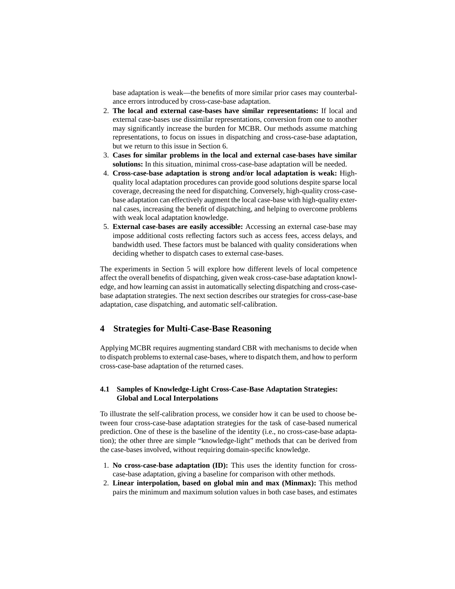base adaptation is weak—the benefits of more similar prior cases may counterbalance errors introduced by cross-case-base adaptation.

- 2. **The local and external case-bases have similar representations:** If local and external case-bases use dissimilar representations, conversion from one to another may significantly increase the burden for MCBR. Our methods assume matching representations, to focus on issues in dispatching and cross-case-base adaptation, but we return to this issue in Section 6.
- 3. **Cases for similar problems in the local and external case-bases have similar solutions:** In this situation, minimal cross-case-base adaptation will be needed.
- 4. **Cross-case-base adaptation is strong and/or local adaptation is weak:** Highquality local adaptation procedures can provide good solutions despite sparse local coverage, decreasing the need for dispatching. Conversely, high-quality cross-casebase adaptation can effectively augment the local case-base with high-quality external cases, increasing the benefit of dispatching, and helping to overcome problems with weak local adaptation knowledge.
- 5. **External case-bases are easily accessible:** Accessing an external case-base may impose additional costs reflecting factors such as access fees, access delays, and bandwidth used. These factors must be balanced with quality considerations when deciding whether to dispatch cases to external case-bases.

The experiments in Section 5 will explore how different levels of local competence affect the overall benefits of dispatching, given weak cross-case-base adaptation knowledge, and how learning can assist in automatically selecting dispatching and cross-casebase adaptation strategies. The next section describes our strategies for cross-case-base adaptation, case dispatching, and automatic self-calibration.

# **4 Strategies for Multi-Case-Base Reasoning**

Applying MCBR requires augmenting standard CBR with mechanisms to decide when to dispatch problems to external case-bases, where to dispatch them, and how to perform cross-case-base adaptation of the returned cases.

#### **4.1 Samples of Knowledge-Light Cross-Case-Base Adaptation Strategies: Global and Local Interpolations**

To illustrate the self-calibration process, we consider how it can be used to choose between four cross-case-base adaptation strategies for the task of case-based numerical prediction. One of these is the baseline of the identity (i.e., no cross-case-base adaptation); the other three are simple "knowledge-light" methods that can be derived from the case-bases involved, without requiring domain-specific knowledge.

- 1. **No cross-case-base adaptation (ID):** This uses the identity function for crosscase-base adaptation, giving a baseline for comparison with other methods.
- 2. **Linear interpolation, based on global min and max (Minmax):** This method pairs the minimum and maximum solution values in both case bases, and estimates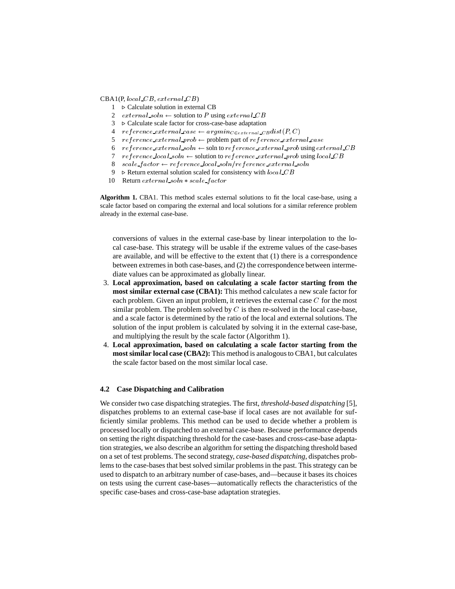#### $CBA1(P, local\_CB, external\_CB)$

- $1 \rightarrow$  Calculate solution in external CB
- 2 external soln  $\leftarrow$  solution to P using external CB
- $3 \rightarrow$  Calculate scale factor for cross-case-base adaptation
- 4 reference external case  $\leftarrow argmin_{C\in external\_CB}dist(P, C)$
- 5 reference external prob $\leftarrow$  problem part of reference external case
- 6 reference external soln  $\leftarrow$  soln to reference external prob using external CB
- 7 reference local soln  $\leftarrow$  solution to reference external prob using local CB
- 8 scale\_factor  $\leftarrow$  reference\_local\_soln/reference\_external\_soln
- 9  $\triangleright$  Return external solution scaled for consistency with local CB
- 10 Return  $external\_soln * scale\_factor$

**Algorithm 1.** CBA1. This method scales external solutions to fit the local case-base, using a scale factor based on comparing the external and local solutions for a similar reference problem already in the external case-base.

conversions of values in the external case-base by linear interpolation to the local case-base. This strategy will be usable if the extreme values of the case-bases are available, and will be effective to the extent that (1) there is a correspondence between extremes in both case-bases, and (2) the correspondence between intermediate values can be approximated as globally linear.

- 3. **Local approximation, based on calculating a scale factor starting from the most similar external case (CBA1):** This method calculates a new scale factor for each problem. Given an input problem, it retrieves the external case  $C$  for the most similar problem. The problem solved by  $C$  is then re-solved in the local case-base, and a scale factor is determined by the ratio of the local and external solutions. The solution of the input problem is calculated by solving it in the external case-base, and multiplying the result by the scale factor (Algorithm 1).
- 4. **Local approximation, based on calculating a scale factor starting from the most similar local case (CBA2):** This method is analogous to CBA1, but calculates the scale factor based on the most similar local case.

#### **4.2 Case Dispatching and Calibration**

We consider two case dispatching strategies. The first, *threshold-based dispatching* [5], dispatches problems to an external case-base if local cases are not available for sufficiently similar problems. This method can be used to decide whether a problem is processed locally or dispatched to an external case-base. Because performance depends on setting the right dispatching threshold for the case-bases and cross-case-base adaptation strategies, we also describe an algorithm for setting the dispatching threshold based on a set of test problems. The second strategy, *case-based dispatching*, dispatches problems to the case-bases that best solved similar problems in the past. This strategy can be used to dispatch to an arbitrary number of case-bases, and—because it bases its choices on tests using the current case-bases—automatically reflects the characteristics of the specific case-bases and cross-case-base adaptation strategies.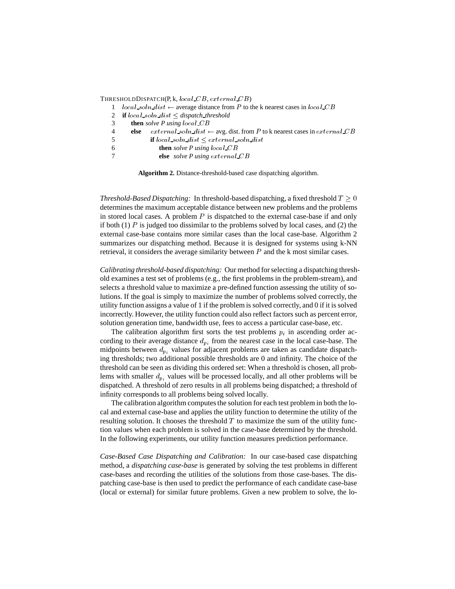THRESHOLDDISPATCH(P, k, local CB, external CB)

|   | 1 $local\_soln\_dist \leftarrow$ average distance from P to the k nearest cases in $local\_CB$ |                                                                                           |
|---|------------------------------------------------------------------------------------------------|-------------------------------------------------------------------------------------------|
|   | 2 if $local\_soln\_dist \leq dispatch\_threshold$                                              |                                                                                           |
|   | <b>then</b> solve P using local $CB$                                                           |                                                                                           |
| 4 | else                                                                                           | $external\_soln\_dist \leftarrow avg$ . dist. from P to k nearest cases in $external\_CB$ |
|   |                                                                                                | <b>if</b> $local\_soln\_dist \leq external\_soln\_dist$                                   |
| 6 |                                                                                                | <b>then</b> solve P using local $CB$                                                      |
|   |                                                                                                | <b>else</b> solve P using external $CB$                                                   |

**Algorithm 2.** Distance-threshold-based case dispatching algorithm.

*Threshold-Based Dispatching:* In threshold-based dispatching, a fixed threshold  $T \geq 0$ determines the maximum acceptable distance between new problems and the problems in stored local cases. A problem  $P$  is dispatched to the external case-base if and only if both (1) P is judged too dissimilar to the problems solved by local cases, and (2) the external case-base contains more similar cases than the local case-base. Algorithm 2 summarizes our dispatching method. Because it is designed for systems using k-NN retrieval, it considers the average similarity between  $P$  and the k most similar cases.

*Calibrating threshold-based dispatching:* Our method for selecting a dispatching threshold examines a test set of problems (e.g., the first problems in the problem-stream), and selects a threshold value to maximize a pre-defined function assessing the utility of solutions. If the goal is simply to maximize the number of problems solved correctly, the utility function assigns a value of 1 if the problem is solved correctly, and 0 if it is solved incorrectly. However, the utility function could also reflect factors such as percent error, solution generation time, bandwidth use, fees to access a particular case-base, etc.

The calibration algorithm first sorts the test problems  $p_i$  in ascending order according to their average distance  $d_{p_i}$  from the nearest case in the local case-base. The midpoints between  $d_{p_i}$  values for adjacent problems are taken as candidate dispatching thresholds; two additional possible thresholds are 0 and infinity. The choice of the threshold can be seen as dividing this ordered set: When a threshold is chosen, all problems with smaller  $d_{p_i}$  values will be processed locally, and all other problems will be dispatched. A threshold of zero results in all problems being dispatched; a threshold of infinity corresponds to all problems being solved locally.

The calibration algorithm computes the solution for each test problem in both the local and external case-base and applies the utility function to determine the utility of the resulting solution. It chooses the threshold  $T$  to maximize the sum of the utility function values when each problem is solved in the case-base determined by the threshold. In the following experiments, our utility function measures prediction performance.

*Case-Based Case Dispatching and Calibration:* In our case-based case dispatching method, a *dispatching case-base* is generated by solving the test problems in different case-bases and recording the utilities of the solutions from those case-bases. The dispatching case-base is then used to predict the performance of each candidate case-base (local or external) for similar future problems. Given a new problem to solve, the lo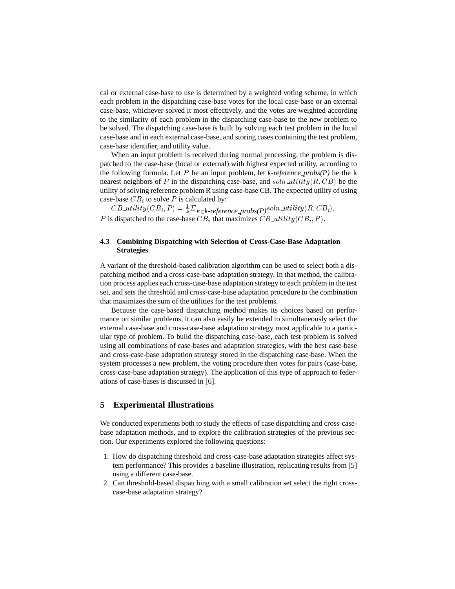cal or external case-base to use is determined by a weighted voting scheme, in which each problem in the dispatching case-base votes for the local case-base or an external case-base, whichever solved it most effectively, and the votes are weighted according to the similarity of each problem in the dispatching case-base to the new problem to be solved. The dispatching case-base is built by solving each test problem in the local case-base and in each external case-base, and storing cases containing the test problem, case-base identifier, and utility value.

When an input problem is received during normal processing, the problem is dispatched to the case-base (local or external) with highest expected utility, according to the following formula. Let <sup>P</sup> be an input problem, let *k-reference probs(P)* be the k nearest neighbors of P in the dispatching case-base, and  $\text{soln\_utility}(R, CB)$  be the utility of solving reference problem R using case-base CB. The expected utility of using case-base  $CB_i$  to solve P is calculated by:

 $CB\_utility(CB_i, P) = \frac{1}{k} \sum_{R \in \mathcal{k}\text{-reference\_probs}(P)} soln\_utility(R, CB_i).$ P is dispatched to the case-base  $CB_i$  that maximizes  $CB_$ utility( $CB_i, P$ ).

#### **4.3 Combining Dispatching with Selection of Cross-Case-Base Adaptation Strategies**

A variant of the threshold-based calibration algorithm can be used to select both a dispatching method and a cross-case-base adaptation strategy. In that method, the calibration process applies each cross-case-base adaptation strategy to each problem in the test set, and sets the threshold and cross-case-base adaptation procedure to the combination that maximizes the sum of the utilities for the test problems.

Because the case-based dispatching method makes its choices based on performance on similar problems, it can also easily be extended to simultaneously select the external case-base and cross-case-base adaptation strategy most applicable to a particular type of problem. To build the dispatching case-base, each test problem is solved using all combinations of case-bases and adaptation strategies, with the best case-base and cross-case-base adaptation strategy stored in the dispatching case-base. When the system processes a new problem, the voting procedure then votes for pairs (case-base, cross-case-base adaptation strategy). The application of this type of approach to federations of case-bases is discussed in [6].

## **5 Experimental Illustrations**

We conducted experiments both to study the effects of case dispatching and cross-casebase adaptation methods, and to explore the calibration strategies of the previous section. Our experiments explored the following questions:

- 1. How do dispatching threshold and cross-case-base adaptation strategies affect system performance? This provides a baseline illustration, replicating results from [5] using a different case-base.
- 2. Can threshold-based dispatching with a small calibration set select the right crosscase-base adaptation strategy?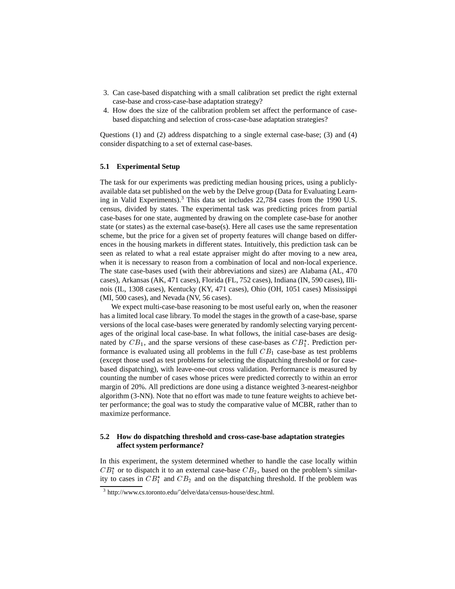- 3. Can case-based dispatching with a small calibration set predict the right external case-base and cross-case-base adaptation strategy?
- 4. How does the size of the calibration problem set affect the performance of casebased dispatching and selection of cross-case-base adaptation strategies?

Questions (1) and (2) address dispatching to a single external case-base; (3) and (4) consider dispatching to a set of external case-bases.

#### **5.1 Experimental Setup**

The task for our experiments was predicting median housing prices, using a publiclyavailable data set published on the web by the Delve group (Data for Evaluating Learning in Valid Experiments).<sup>3</sup> This data set includes 22,784 cases from the 1990 U.S. census, divided by states. The experimental task was predicting prices from partial case-bases for one state, augmented by drawing on the complete case-base for another state (or states) as the external case-base(s). Here all cases use the same representation scheme, but the price for a given set of property features will change based on differences in the housing markets in different states. Intuitively, this prediction task can be seen as related to what a real estate appraiser might do after moving to a new area, when it is necessary to reason from a combination of local and non-local experience. The state case-bases used (with their abbreviations and sizes) are Alabama (AL, 470 cases), Arkansas (AK, 471 cases), Florida (FL, 752 cases), Indiana (IN, 590 cases), Illinois (IL, 1308 cases), Kentucky (KY, 471 cases), Ohio (OH, 1051 cases) Mississippi (MI, 500 cases), and Nevada (NV, 56 cases).

We expect multi-case-base reasoning to be most useful early on, when the reasoner has a limited local case library. To model the stages in the growth of a case-base, sparse versions of the local case-bases were generated by randomly selecting varying percentages of the original local case-base. In what follows, the initial case-bases are designated by  $CB_1$ , and the sparse versions of these case-bases as  $CB_1^*$ . Prediction performance is evaluated using all problems in the full  $CB<sub>1</sub>$  case-base as test problems (except those used as test problems for selecting the dispatching threshold or for casebased dispatching), with leave-one-out cross validation. Performance is measured by counting the number of cases whose prices were predicted correctly to within an error margin of 20%. All predictions are done using a distance weighted 3-nearest-neighbor algorithm (3-NN). Note that no effort was made to tune feature weights to achieve better performance; the goal was to study the comparative value of MCBR, rather than to maximize performance.

#### **5.2 How do dispatching threshold and cross-case-base adaptation strategies affect system performance?**

In this experiment, the system determined whether to handle the case locally within  $CB_1^*$  or to dispatch it to an external case-base  $CB_2$ , based on the problem's similarity to cases in  $CB_1^*$  and  $CB_2$  and on the dispatching threshold. If the problem was

<sup>3</sup> http://www.cs.toronto.edu/˜delve/data/census-house/desc.html.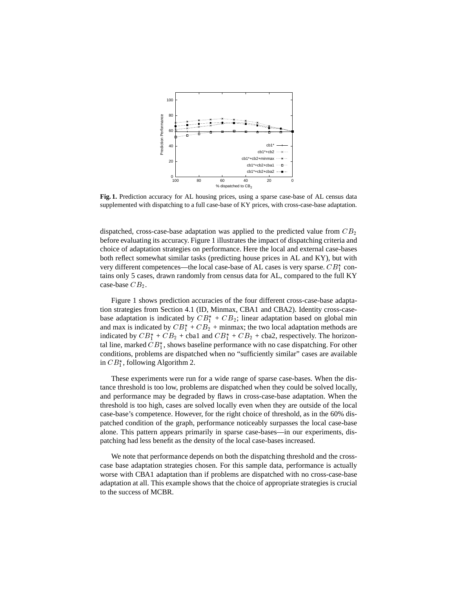

**Fig. 1.** Prediction accuracy for AL housing prices, using a sparse case-base of AL census data supplemented with dispatching to a full case-base of KY prices, with cross-case-base adaptation.

dispatched, cross-case-base adaptation was applied to the predicted value from  $CB<sub>2</sub>$ before evaluating its accuracy. Figure 1 illustrates the impact of dispatching criteria and choice of adaptation strategies on performance. Here the local and external case-bases both reflect somewhat similar tasks (predicting house prices in AL and KY), but with very different competences—the local case-base of AL cases is very sparse.  $CB_1^{\star}$  contains only 5 cases, drawn randomly from census data for AL, compared to the full KY case-base  $CB_2$ .

Figure 1 shows prediction accuracies of the four different cross-case-base adaptation strategies from Section 4.1 (ID, Minmax, CBA1 and CBA2). Identity cross-casebase adaptation is indicated by  $CB_1^* + CB_2$ ; linear adaptation based on global min and max is indicated by  $CB_1^* + CB_2 + \text{minmax}$ ; the two local adaptation methods are indicated by  $CB_1^* + CB_2 + \text{chal}$  and  $CB_1^* + CB_2 + \text{cba2}$ , respectively. The horizontal line, marked  $CB_1^*$ , shows baseline performance with no case dispatching. For other conditions, problems are dispatched when no "sufficiently similar" cases are available in  $CB_1^*$ , following Algorithm 2.

These experiments were run for a wide range of sparse case-bases. When the distance threshold is too low, problems are dispatched when they could be solved locally, and performance may be degraded by flaws in cross-case-base adaptation. When the threshold is too high, cases are solved locally even when they are outside of the local case-base's competence. However, for the right choice of threshold, as in the 60% dispatched condition of the graph, performance noticeably surpasses the local case-base alone. This pattern appears primarily in sparse case-bases—in our experiments, dispatching had less benefit as the density of the local case-bases increased.

We note that performance depends on both the dispatching threshold and the crosscase base adaptation strategies chosen. For this sample data, performance is actually worse with CBA1 adaptation than if problems are dispatched with no cross-case-base adaptation at all. This example shows that the choice of appropriate strategies is crucial to the success of MCBR.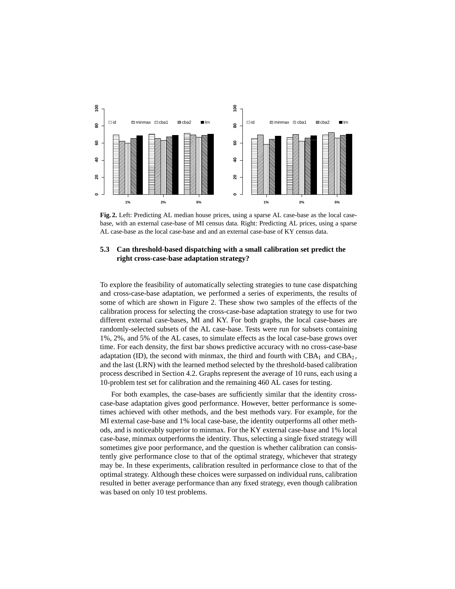

**Fig. 2.** Left: Predicting AL median house prices, using a sparse AL case-base as the local casebase, with an external case-base of MI census data. Right: Predicting AL prices, using a sparse AL case-base as the local case-base and and an external case-base of KY census data.

## **5.3 Can threshold-based dispatching with a small calibration set predict the right cross-case-base adaptation strategy?**

To explore the feasibility of automatically selecting strategies to tune case dispatching and cross-case-base adaptation, we performed a series of experiments, the results of some of which are shown in Figure 2. These show two samples of the effects of the calibration process for selecting the cross-case-base adaptation strategy to use for two different external case-bases, MI and KY. For both graphs, the local case-bases are randomly-selected subsets of the AL case-base. Tests were run for subsets containing 1%, 2%, and 5% of the AL cases, to simulate effects as the local case-base grows over time. For each density, the first bar shows predictive accuracy with no cross-case-base adaptation (ID), the second with minmax, the third and fourth with  $CBA<sub>1</sub>$  and  $CBA<sub>2</sub>$ , and the last (LRN) with the learned method selected by the threshold-based calibration process described in Section 4.2. Graphs represent the average of 10 runs, each using a 10-problem test set for calibration and the remaining 460 AL cases for testing.

For both examples, the case-bases are sufficiently similar that the identity crosscase-base adaptation gives good performance. However, better performance is sometimes achieved with other methods, and the best methods vary. For example, for the MI external case-base and 1% local case-base, the identity outperforms all other methods, and is noticeably superior to minmax. For the KY external case-base and 1% local case-base, minmax outperforms the identity. Thus, selecting a single fixed strategy will sometimes give poor performance, and the question is whether calibration can consistently give performance close to that of the optimal strategy, whichever that strategy may be. In these experiments, calibration resulted in performance close to that of the optimal strategy. Although these choices were surpassed on individual runs, calibration resulted in better average performance than any fixed strategy, even though calibration was based on only 10 test problems.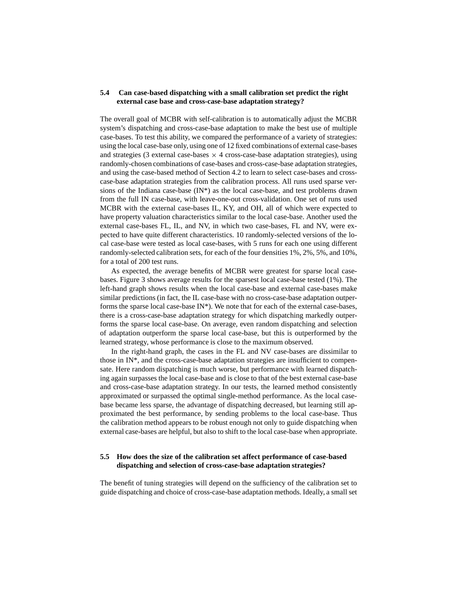#### **5.4 Can case-based dispatching with a small calibration set predict the right external case base and cross-case-base adaptation strategy?**

The overall goal of MCBR with self-calibration is to automatically adjust the MCBR system's dispatching and cross-case-base adaptation to make the best use of multiple case-bases. To test this ability, we compared the performance of a variety of strategies: using the local case-base only, using one of 12 fixed combinations of external case-bases and strategies (3 external case-bases  $\times$  4 cross-case-base adaptation strategies), using randomly-chosen combinations of case-bases and cross-case-base adaptation strategies, and using the case-based method of Section 4.2 to learn to select case-bases and crosscase-base adaptation strategies from the calibration process. All runs used sparse versions of the Indiana case-base  $(IN^*)$  as the local case-base, and test problems drawn from the full IN case-base, with leave-one-out cross-validation. One set of runs used MCBR with the external case-bases IL, KY, and OH, all of which were expected to have property valuation characteristics similar to the local case-base. Another used the external case-bases FL, IL, and NV, in which two case-bases, FL and NV, were expected to have quite different characteristics. 10 randomly-selected versions of the local case-base were tested as local case-bases, with 5 runs for each one using different randomly-selected calibration sets, for each of the four densities 1%, 2%, 5%, and 10%, for a total of 200 test runs.

As expected, the average benefits of MCBR were greatest for sparse local casebases. Figure 3 shows average results for the sparsest local case-base tested (1%). The left-hand graph shows results when the local case-base and external case-bases make similar predictions (in fact, the IL case-base with no cross-case-base adaptation outperforms the sparse local case-base IN\*). We note that for each of the external case-bases, there is a cross-case-base adaptation strategy for which dispatching markedly outperforms the sparse local case-base. On average, even random dispatching and selection of adaptation outperform the sparse local case-base, but this is outperformed by the learned strategy, whose performance is close to the maximum observed.

In the right-hand graph, the cases in the FL and NV case-bases are dissimilar to those in IN\*, and the cross-case-base adaptation strategies are insufficient to compensate. Here random dispatching is much worse, but performance with learned dispatching again surpasses the local case-base and is close to that of the best external case-base and cross-case-base adaptation strategy. In our tests, the learned method consistently approximated or surpassed the optimal single-method performance. As the local casebase became less sparse, the advantage of dispatching decreased, but learning still approximated the best performance, by sending problems to the local case-base. Thus the calibration method appears to be robust enough not only to guide dispatching when external case-bases are helpful, but also to shift to the local case-base when appropriate.

#### **5.5 How does the size of the calibration set affect performance of case-based dispatching and selection of cross-case-base adaptation strategies?**

The benefit of tuning strategies will depend on the sufficiency of the calibration set to guide dispatching and choice of cross-case-base adaptation methods. Ideally, a small set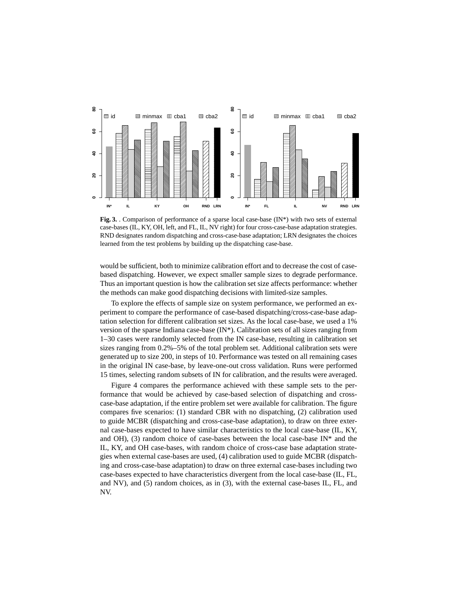

**Fig. 3.** . Comparison of performance of a sparse local case-base (IN\*) with two sets of external case-bases (IL, KY, OH, left, and FL, IL, NV right) for four cross-case-base adaptation strategies. RND designates random dispatching and cross-case-base adaptation; LRN designates the choices learned from the test problems by building up the dispatching case-base.

would be sufficient, both to minimize calibration effort and to decrease the cost of casebased dispatching. However, we expect smaller sample sizes to degrade performance. Thus an important question is how the calibration set size affects performance: whether the methods can make good dispatching decisions with limited-size samples.

To explore the effects of sample size on system performance, we performed an experiment to compare the performance of case-based dispatching/cross-case-base adaptation selection for different calibration set sizes. As the local case-base, we used a 1% version of the sparse Indiana case-base (IN\*). Calibration sets of all sizes ranging from 1–30 cases were randomly selected from the IN case-base, resulting in calibration set sizes ranging from 0.2%–5% of the total problem set. Additional calibration sets were generated up to size 200, in steps of 10. Performance was tested on all remaining cases in the original IN case-base, by leave-one-out cross validation. Runs were performed 15 times, selecting random subsets of IN for calibration, and the results were averaged.

Figure 4 compares the performance achieved with these sample sets to the performance that would be achieved by case-based selection of dispatching and crosscase-base adaptation, if the entire problem set were available for calibration. The figure compares five scenarios: (1) standard CBR with no dispatching, (2) calibration used to guide MCBR (dispatching and cross-case-base adaptation), to draw on three external case-bases expected to have similar characteristics to the local case-base (IL, KY, and OH), (3) random choice of case-bases between the local case-base  $IN^*$  and the IL, KY, and OH case-bases, with random choice of cross-case base adaptation strategies when external case-bases are used, (4) calibration used to guide MCBR (dispatching and cross-case-base adaptation) to draw on three external case-bases including two case-bases expected to have characteristics divergent from the local case-base (IL, FL, and NV), and (5) random choices, as in (3), with the external case-bases IL, FL, and NV.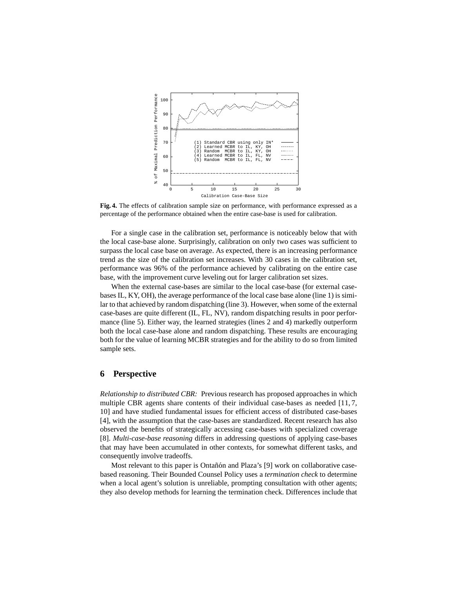

**Fig. 4.** The effects of calibration sample size on performance, with performance expressed as a percentage of the performance obtained when the entire case-base is used for calibration.

For a single case in the calibration set, performance is noticeably below that with the local case-base alone. Surprisingly, calibration on only two cases was sufficient to surpass the local case base on average. As expected, there is an increasing performance trend as the size of the calibration set increases. With 30 cases in the calibration set, performance was 96% of the performance achieved by calibrating on the entire case base, with the improvement curve leveling out for larger calibration set sizes.

When the external case-bases are similar to the local case-base (for external casebases IL, KY, OH), the average performance of the local case base alone (line 1) is similar to that achieved by random dispatching (line 3). However, when some of the external case-bases are quite different (IL, FL, NV), random dispatching results in poor performance (line 5). Either way, the learned strategies (lines 2 and 4) markedly outperform both the local case-base alone and random dispatching. These results are encouraging both for the value of learning MCBR strategies and for the ability to do so from limited sample sets.

# **6 Perspective**

*Relationship to distributed CBR:* Previous research has proposed approaches in which multiple CBR agents share contents of their individual case-bases as needed [11,7, 10] and have studied fundamental issues for efficient access of distributed case-bases [4], with the assumption that the case-bases are standardized. Recent research has also observed the benefits of strategically accessing case-bases with specialized coverage [8]. *Multi-case-base reasoning* differs in addressing questions of applying case-bases that may have been accumulated in other contexts, for somewhat different tasks, and consequently involve tradeoffs.

Most relevant to this paper is Ontañón and Plaza's [9] work on collaborative casebased reasoning. Their Bounded Counsel Policy uses a *termination check* to determine when a local agent's solution is unreliable, prompting consultation with other agents; they also develop methods for learning the termination check. Differences include that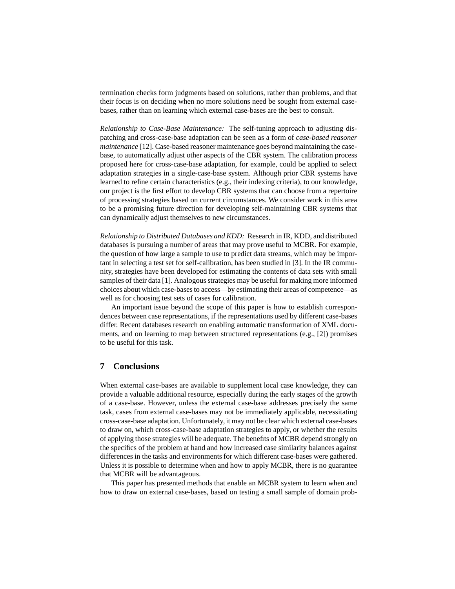termination checks form judgments based on solutions, rather than problems, and that their focus is on deciding when no more solutions need be sought from external casebases, rather than on learning which external case-bases are the best to consult.

*Relationship to Case-Base Maintenance:* The self-tuning approach to adjusting dispatching and cross-case-base adaptation can be seen as a form of *case-based reasoner maintenance* [12]. Case-based reasoner maintenance goes beyond maintaining the casebase, to automatically adjust other aspects of the CBR system. The calibration process proposed here for cross-case-base adaptation, for example, could be applied to select adaptation strategies in a single-case-base system. Although prior CBR systems have learned to refine certain characteristics (e.g., their indexing criteria), to our knowledge, our project is the first effort to develop CBR systems that can choose from a repertoire of processing strategies based on current circumstances. We consider work in this area to be a promising future direction for developing self-maintaining CBR systems that can dynamically adjust themselves to new circumstances.

*Relationship to Distributed Databases and KDD:* Research in IR, KDD, and distributed databases is pursuing a number of areas that may prove useful to MCBR. For example, the question of how large a sample to use to predict data streams, which may be important in selecting a test set for self-calibration, has been studied in [3]. In the IR community, strategies have been developed for estimating the contents of data sets with small samples of their data [1]. Analogous strategies may be useful for making more informed choices about which case-bases to access—by estimating their areas of competence—as well as for choosing test sets of cases for calibration.

An important issue beyond the scope of this paper is how to establish correspondences between case representations, if the representations used by different case-bases differ. Recent databases research on enabling automatic transformation of XML documents, and on learning to map between structured representations (e.g., [2]) promises to be useful for this task.

## **7 Conclusions**

When external case-bases are available to supplement local case knowledge, they can provide a valuable additional resource, especially during the early stages of the growth of a case-base. However, unless the external case-base addresses precisely the same task, cases from external case-bases may not be immediately applicable, necessitating cross-case-base adaptation. Unfortunately, it may not be clear which external case-bases to draw on, which cross-case-base adaptation strategies to apply, or whether the results of applying those strategies will be adequate. The benefits of MCBR depend strongly on the specifics of the problem at hand and how increased case similarity balances against differences in the tasks and environments for which different case-bases were gathered. Unless it is possible to determine when and how to apply MCBR, there is no guarantee that MCBR will be advantageous.

This paper has presented methods that enable an MCBR system to learn when and how to draw on external case-bases, based on testing a small sample of domain prob